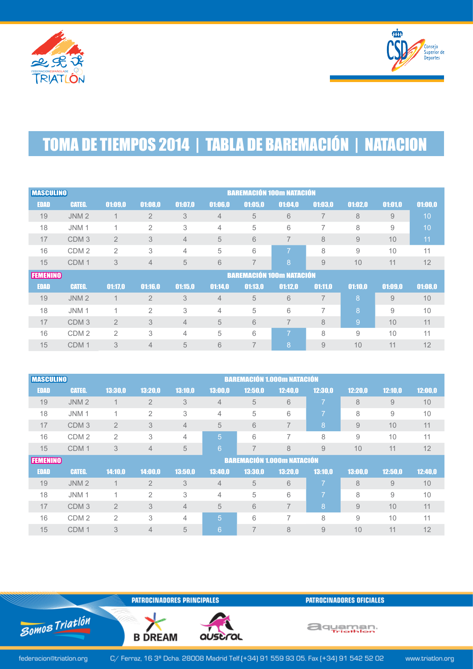



## **TOMA DE TIEMPOS 2014 | TABLA DE BAREMACIÓN | NATACION**

| <b>MASCULINO</b> |                  |                |                | <b>BAREMACIÓN 100m NATACIÓN</b> |                |                |                |                |         |         |         |
|------------------|------------------|----------------|----------------|---------------------------------|----------------|----------------|----------------|----------------|---------|---------|---------|
| <b>EDAD</b>      | <b>CATEG.</b>    | 01:09.0        | 01:08,0        | 01:07,0                         | 01:06,0        | 01:05,0        | 01:04,0        | 01:03,0        | 01:02.0 | 01:01,0 | 01:00,0 |
| 19               | JNM <sub>2</sub> |                | $\overline{2}$ | 3                               | $\overline{4}$ | 5              | 6              | $\overline{7}$ | 8       | 9       | 10      |
| 18               | JNM <sub>1</sub> | 4              | $\overline{2}$ | 3                               | 4              | 5              | 6              | 7              | 8       | 9       | 10      |
| 17               | CDM <sub>3</sub> | $\overline{2}$ | 3              | 4                               | 5              | 6              | $\overline{7}$ | 8              | 9       | 10      | 11      |
| 16               | CDM <sub>2</sub> | $\overline{2}$ | 3              | 4                               | 5              | 6              | 7              | 8              | 9       | 10      | 11      |
| 15               | CDM <sub>1</sub> | 3              | $\overline{4}$ | 5                               | 6              | $\overline{7}$ | 8              | 9              | 10      | 11      | 12      |
| <b>FEMENINO</b>  |                  |                |                | <b>BAREMACIÓN 100m NATACIÓN</b> |                |                |                |                |         |         |         |
| <b>EDAD</b>      | <b>CATEG.</b>    | 01:17,0        | 01:16.0        | 01:15,0                         | 01:14,0        | 01:13.0        | 01:12,0        | 01:11.0        | 01:10.0 | 01:09.0 | 01:08,0 |
| 19               | JNM <sub>2</sub> | $\overline{1}$ | $\overline{2}$ | 3                               | $\overline{4}$ | 5              | 6              | $\overline{7}$ | 8       | 9       | 10      |
| 18               | JNM <sub>1</sub> | $\overline{A}$ | $\overline{2}$ | 3                               | 4              | 5              | 6              |                | 8       | 9       | 10      |
| 17               | CDM <sub>3</sub> | $\overline{2}$ | 3              | $\overline{4}$                  | 5              | 6              | $\overline{7}$ | 8              | 9       | 10      | 11      |
| 16               |                  |                |                |                                 |                |                |                |                |         |         |         |
|                  | CDM <sub>2</sub> | $\overline{2}$ | 3              | 4                               | 5              | 6              | 7              | 8              | 9       | 10      | 11      |

|                 | <b>BAREMACIÓN 1.000m NATACIÓN</b><br><b>MASCULINO</b> |                |                                   |                |                 |         |                |                          |         |         |         |
|-----------------|-------------------------------------------------------|----------------|-----------------------------------|----------------|-----------------|---------|----------------|--------------------------|---------|---------|---------|
| <b>EDAD</b>     | <b>CATEG.</b>                                         | 13:30.0        | 13:20.0                           | 13:10.0        | 13:00,0         | 12:50,0 | 12:40.0        | 12:30.0                  | 12:20.0 | 12:10.0 | 12:00,0 |
| 19              | JNM <sub>2</sub>                                      | $\mathbf{1}$   | $\overline{2}$                    | 3              | $\overline{4}$  | 5       | 6              | 7                        | 8       | 9       | 10      |
| 18              | JNM <sub>1</sub>                                      | 1              | $\overline{2}$                    | 3              | 4               | 5       | 6              | $\overline{\phantom{a}}$ | 8       | 9       | 10      |
| 17              | CDM <sub>3</sub>                                      | $\overline{2}$ | 3                                 | $\overline{4}$ | 5               | 6       | $\overline{7}$ | 8                        | 9       | 10      | 11      |
| 16              | CDM <sub>2</sub>                                      | $\overline{2}$ | 3                                 | 4              | 5               | 6       | 7              | 8                        | 9       | 10      | 11      |
| 15              | CDM <sub>1</sub>                                      | 3              | $\overline{4}$                    | 5              | $6\phantom{1}6$ | 7       | 8              | 9                        | 10      | 11      | 12      |
| <b>FEMENINO</b> |                                                       |                | <b>BAREMACIÓN 1.000m NATACIÓN</b> |                |                 |         |                |                          |         |         |         |
|                 |                                                       |                |                                   |                |                 |         |                |                          |         |         |         |
| <b>EDAD</b>     | <b>CATEG.</b>                                         | 14:10,0        | 14:00,0                           | 13:50,0        | 13:40,0         | 13:30,0 | 13:20,0        | 13:10.0                  | 13:00.0 | 12:50.0 | 12:40,0 |
| 19              | JNM <sub>2</sub>                                      |                | $\overline{2}$                    | 3              | $\overline{4}$  | 5       | 6              | $\overline{\phantom{a}}$ | 8       | 9       | 10      |
| 18              | JNM <sub>1</sub>                                      | 1              | $\overline{2}$                    | 3              | 4               | 5       | 6              | $\overline{\phantom{0}}$ | 8       | 9       | 10      |
| 17              | CDM <sub>3</sub>                                      | $\overline{2}$ | 3                                 | $\overline{4}$ | 5               | 6       | $\overline{7}$ | 8                        | 9       | 10      | 11      |
| 16              | CDM <sub>2</sub>                                      | $\overline{2}$ | 3                                 | 4              | 5               | 6       | 7              | 8                        | 9       | 10      | 11      |

**PATROCINADORES PRINCIPALES** 

**B DREAM** 

auscral

**PATROCINADORES OFICIALES** 

aquaman.

federacion@triatlon.org

Somos Triatlón

C/ Ferraz, 16 3º Dcha. 28008 Madrid Telf.(+34) 91 559 93 05. Fax (+34) 91 542 52 02